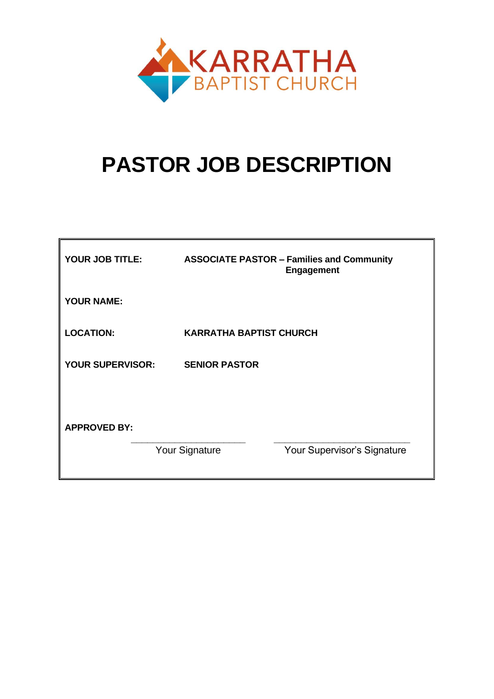

# **PASTOR JOB DESCRIPTION**

| YOUR JOB TITLE:         | <b>ASSOCIATE PASTOR - Families and Community</b><br><b>Engagement</b> |
|-------------------------|-----------------------------------------------------------------------|
| <b>YOUR NAME:</b>       |                                                                       |
| <b>LOCATION:</b>        | <b>KARRATHA BAPTIST CHURCH</b>                                        |
| <b>YOUR SUPERVISOR:</b> | <b>SENIOR PASTOR</b>                                                  |
|                         |                                                                       |
| <b>APPROVED BY:</b>     |                                                                       |
|                         | Your Signature<br>Your Supervisor's Signature                         |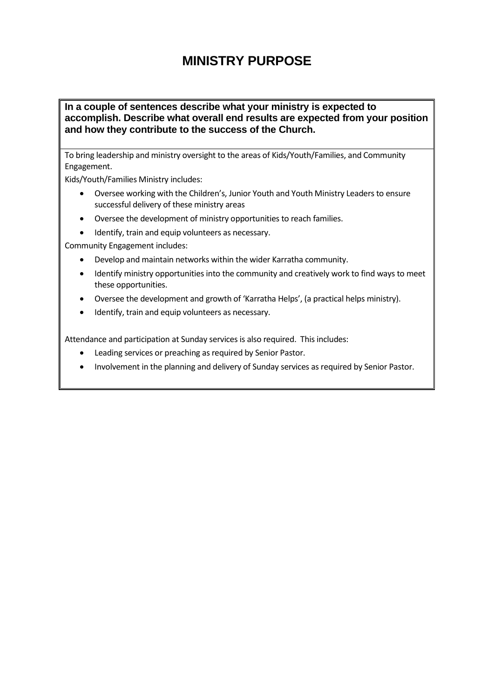## **MINISTRY PURPOSE**

#### **In a couple of sentences describe what your ministry is expected to accomplish. Describe what overall end results are expected from your position and how they contribute to the success of the Church.**

To bring leadership and ministry oversight to the areas of Kids/Youth/Families, and Community Engagement.

Kids/Youth/Families Ministry includes:

- Oversee working with the Children's, Junior Youth and Youth Ministry Leaders to ensure successful delivery of these ministry areas
- Oversee the development of ministry opportunities to reach families.
- Identify, train and equip volunteers as necessary.

Community Engagement includes:

- Develop and maintain networks within the wider Karratha community.
- Identify ministry opportunities into the community and creatively work to find ways to meet these opportunities.
- Oversee the development and growth of 'Karratha Helps', (a practical helps ministry).
- Identify, train and equip volunteers as necessary.

Attendance and participation at Sunday services is also required. This includes:

- Leading services or preaching as required by Senior Pastor.
- Involvement in the planning and delivery of Sunday services as required by Senior Pastor.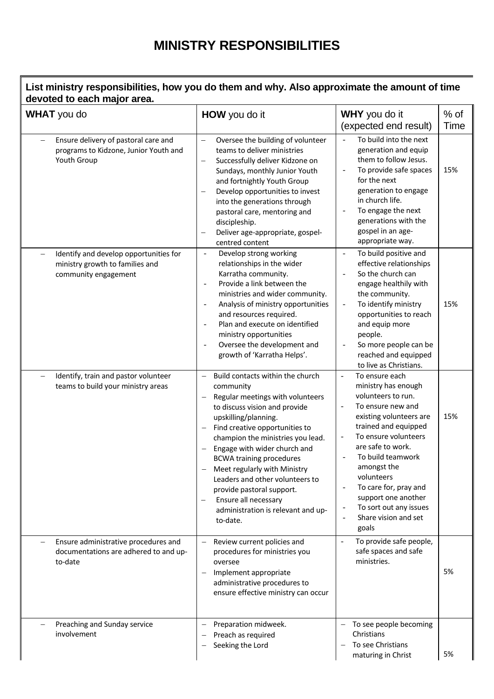## **MINISTRY RESPONSIBILITIES**

### **List ministry responsibilities, how you do them and why. Also approximate the amount of time devoted to each major area.**

| <b>WHAT</b> you do                                                                                                            | HOW you do it                                                                                                                                                                                                                                                                                                                                                                                                                                                                                                                               | <b>WHY</b> you do it<br>(expected end result)                                                                                                                                                                                                                                                                                                                                               | $%$ of<br>Time |
|-------------------------------------------------------------------------------------------------------------------------------|---------------------------------------------------------------------------------------------------------------------------------------------------------------------------------------------------------------------------------------------------------------------------------------------------------------------------------------------------------------------------------------------------------------------------------------------------------------------------------------------------------------------------------------------|---------------------------------------------------------------------------------------------------------------------------------------------------------------------------------------------------------------------------------------------------------------------------------------------------------------------------------------------------------------------------------------------|----------------|
| Ensure delivery of pastoral care and<br>programs to Kidzone, Junior Youth and<br>Youth Group                                  | Oversee the building of volunteer<br>$\qquad \qquad -$<br>teams to deliver ministries<br>Successfully deliver Kidzone on<br>$\overline{\phantom{0}}$<br>Sundays, monthly Junior Youth<br>and fortnightly Youth Group<br>Develop opportunities to invest<br>into the generations through<br>pastoral care, mentoring and<br>discipleship.<br>Deliver age-appropriate, gospel-<br>centred content                                                                                                                                             | To build into the next<br>generation and equip<br>them to follow Jesus.<br>To provide safe spaces<br>$\overline{a}$<br>for the next<br>generation to engage<br>in church life.<br>To engage the next<br>$\overline{a}$<br>generations with the<br>gospel in an age-<br>appropriate way.                                                                                                     | 15%            |
| Identify and develop opportunities for<br>$\overline{\phantom{0}}$<br>ministry growth to families and<br>community engagement | Develop strong working<br>$\sim$<br>relationships in the wider<br>Karratha community.<br>Provide a link between the<br>$\overline{\phantom{a}}$<br>ministries and wider community.<br>Analysis of ministry opportunities<br>$\sim$<br>and resources required.<br>Plan and execute on identified<br>$\sim$<br>ministry opportunities<br>Oversee the development and<br>$\overline{\phantom{a}}$<br>growth of 'Karratha Helps'.                                                                                                               | To build positive and<br>$\overline{a}$<br>effective relationships<br>So the church can<br>engage healthily with<br>the community.<br>To identify ministry<br>$\overline{\phantom{a}}$<br>opportunities to reach<br>and equip more<br>people.<br>So more people can be<br>$\overline{a}$<br>reached and equipped<br>to live as Christians.                                                  | 15%            |
| Identify, train and pastor volunteer<br>$\overline{\phantom{0}}$<br>teams to build your ministry areas                        | Build contacts within the church<br>$\qquad \qquad -$<br>community<br>Regular meetings with volunteers<br>to discuss vision and provide<br>upskilling/planning.<br>Find creative opportunities to<br>$\overline{\phantom{m}}$<br>champion the ministries you lead.<br>Engage with wider church and<br>$\overline{\phantom{m}}$<br><b>BCWA training procedures</b><br>Meet regularly with Ministry<br>Leaders and other volunteers to<br>provide pastoral support.<br>Ensure all necessary<br>administration is relevant and up-<br>to-date. | To ensure each<br>$\Box$<br>ministry has enough<br>volunteers to run.<br>To ensure new and<br>existing volunteers are<br>trained and equipped<br>To ensure volunteers<br>$\overline{a}$<br>are safe to work.<br>To build teamwork<br>amongst the<br>volunteers<br>To care for, pray and<br>support one another<br>To sort out any issues<br>$\overline{a}$<br>Share vision and set<br>goals | 15%            |
| Ensure administrative procedures and<br>documentations are adhered to and up-<br>to-date                                      | Review current policies and<br>procedures for ministries you<br>oversee<br>Implement appropriate<br>$\overline{\phantom{m}}$<br>administrative procedures to<br>ensure effective ministry can occur                                                                                                                                                                                                                                                                                                                                         | To provide safe people,<br>safe spaces and safe<br>ministries.                                                                                                                                                                                                                                                                                                                              | 5%             |
| Preaching and Sunday service<br>involvement                                                                                   | Preparation midweek.<br>Preach as required<br>$\qquad \qquad -$<br>Seeking the Lord                                                                                                                                                                                                                                                                                                                                                                                                                                                         | To see people becoming<br>Christians<br>To see Christians<br>maturing in Christ                                                                                                                                                                                                                                                                                                             | 5%             |